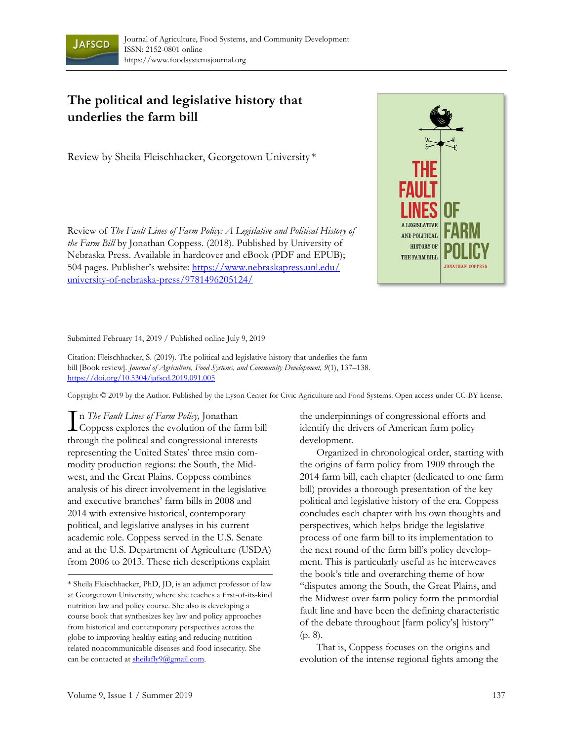

## **The political and legislative history that underlies the farm bill**

Review by Sheila Fleischhacker, Georgetown University \*

Review of *The Fault Lines of Farm Policy: A Legislative and Political History of the Farm Bill* by Jonathan Coppess. (2018). Published by University of Nebraska Press. Available in hardcover and eBook (PDF and EPUB); [504 pages. Publisher's website: https://www.nebraskapress.unl.edu/](https://www.nebraskapress.unl.edu/university-of-nebraska-press/9781496205124/) university-of-nebraska-press/9781496205124/



Submitted February 14, 2019 / Published online July 9, 2019

Citation: Fleischhacker, S. (2019). The political and legislative history that underlies the farm bill [Book review]. *Journal of Agriculture, Food Systems, and Community Development, 9*(1), 137–138. https://doi.org/10.5304/jafscd.2019.091.005

Copyright © 2019 by the Author. Published by the Lyson Center for Civic Agriculture and Food Systems. Open access under CC-BY license.

n *The Fault Lines of Farm Policy,* Jonathan In *The Fault Lines of Farm Policy*, Jonathan<br>Coppess explores the evolution of the farm bill through the political and congressional interests representing the United States' three main commodity production regions: the South, the Midwest, and the Great Plains. Coppess combines analysis of his direct involvement in the legislative and executive branches' farm bills in 2008 and 2014 with extensive historical, contemporary political, and legislative analyses in his current academic role. Coppess served in the U.S. Senate and at the U.S. Department of Agriculture (USDA) from 2006 to 2013. These rich descriptions explain

the underpinnings of congressional efforts and identify the drivers of American farm policy development.

 Organized in chronological order, starting with the origins of farm policy from 1909 through the 2014 farm bill, each chapter (dedicated to one farm bill) provides a thorough presentation of the key political and legislative history of the era. Coppess concludes each chapter with his own thoughts and perspectives, which helps bridge the legislative process of one farm bill to its implementation to the next round of the farm bill's policy development. This is particularly useful as he interweaves the book's title and overarching theme of how "disputes among the South, the Great Plains, and the Midwest over farm policy form the primordial fault line and have been the defining characteristic of the debate throughout [farm policy's] history" (p. 8).

 That is, Coppess focuses on the origins and evolution of the intense regional fights among the

<sup>\*</sup> Sheila Fleischhacker, PhD, JD, is an adjunct professor of law at Georgetown University, where she teaches a first-of-its-kind nutrition law and policy course. She also is developing a course book that synthesizes key law and policy approaches from historical and contemporary perspectives across the globe to improving healthy eating and reducing nutritionrelated noncommunicable diseases and food insecurity. She can be contacted at sheilafly9@gmail.com.